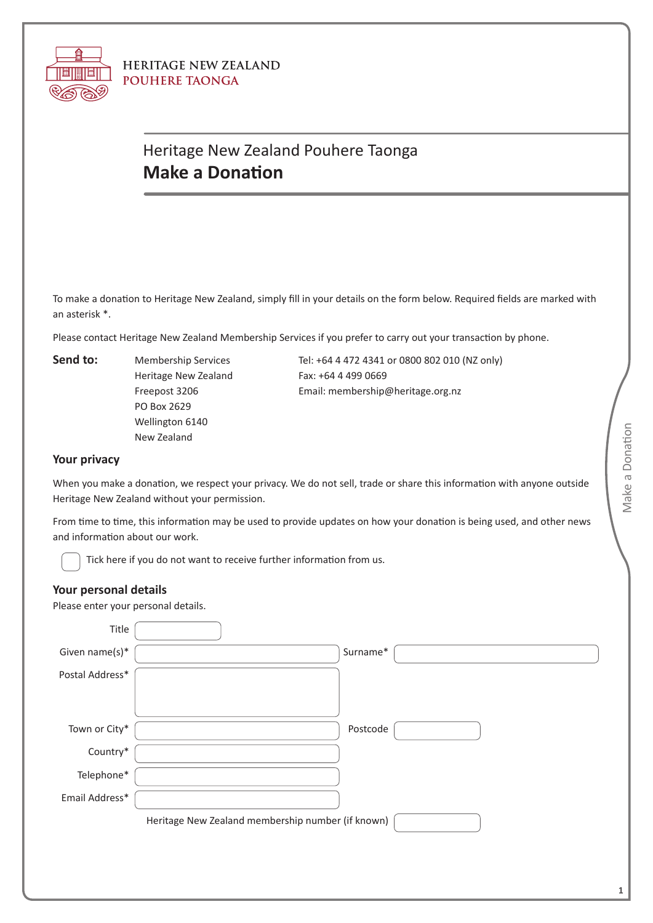

**HERITAGE NEW ZEALAND POUHERE TAONGA** 

## Heritage New Zealand Pouhere Taonga **Make a Donation**

To make a donation to Heritage New Zealand, simply fill in your details on the form below. Required fields are marked with an asterisk \*.

Please contact Heritage New Zealand Membership Services if you prefer to carry out your transaction by phone.

**Send to:**

Membership Services Heritage New Zealand Freepost 3206 PO Box 2629 Wellington 6140 New Zealand

Tel: +64 4 472 4341 or 0800 802 010 (NZ only) Fax: +64 4 499 0669 Email: [membership@heritage.org.nz](mailto:membership@heritage.org.nz)

## **Your privacy**

When you make a donation, we respect your privacy. We do not sell, trade or share this information with anyone outside Heritage New Zealand without your permission.

From time to time, this information may be used to provide updates on how your donation is being used, and other news and information about our work.

Tick here if you do not want to receive further information from us.

## **Your personal details**

Please enter your personal details.

| Title           |                                                   |          |  |
|-----------------|---------------------------------------------------|----------|--|
| Given name(s)*  |                                                   | Surname* |  |
| Postal Address* |                                                   |          |  |
|                 |                                                   |          |  |
| Town or City*   |                                                   | Postcode |  |
| Country*        |                                                   |          |  |
| Telephone*      |                                                   |          |  |
| Email Address*  |                                                   |          |  |
|                 | Heritage New Zealand membership number (if known) |          |  |
|                 |                                                   |          |  |